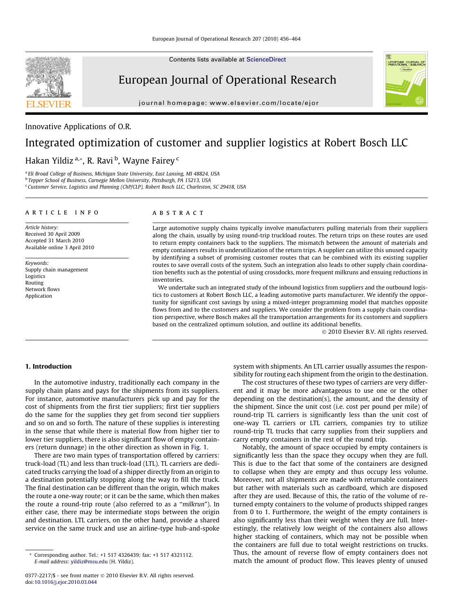Contents lists available at [ScienceDirect](http://www.sciencedirect.com/science/journal/03772217)

# European Journal of Operational Research

journal homepage: [www.elsevier.com/locate/ejor](http://www.elsevier.com/locate/ejor)

## Innovative Applications of O.R.

# Integrated optimization of customer and supplier logistics at Robert Bosch LLC

## Hakan Yildiz <sup>a,</sup>\*, R. Ravi <sup>b</sup>, Wayne Fairey <sup>c</sup>

<sup>a</sup> Eli Broad College of Business, Michigan State University, East Lansing, MI 48824, USA <sup>b</sup> Tepper School of Business, Carnegie Mellon University, Pittsburgh, PA 15213, USA <sup>c</sup> Customer Service, Logistics and Planning (ChP/CLP), Robert Bosch LLC, Charleston, SC 29418, USA

#### article info

Article history: Received 30 April 2009 Accepted 31 March 2010 Available online 3 April 2010

Keywords: Supply chain management Logistics Routing Network flows Application

#### ABSTRACT

Large automotive supply chains typically involve manufacturers pulling materials from their suppliers along the chain, usually by using round-trip truckload routes. The return trips on these routes are used to return empty containers back to the suppliers. The mismatch between the amount of materials and empty containers results in underutilization of the return trips. A supplier can utilize this unused capacity by identifying a subset of promising customer routes that can be combined with its existing supplier routes to save overall costs of the system. Such an integration also leads to other supply chain coordination benefits such as the potential of using crossdocks, more frequent milkruns and ensuing reductions in inventories.

We undertake such an integrated study of the inbound logistics from suppliers and the outbound logistics to customers at Robert Bosch LLC, a leading automotive parts manufacturer. We identify the opportunity for significant cost savings by using a mixed-integer programming model that matches opposite flows from and to the customers and suppliers. We consider the problem from a supply chain coordination perspective, where Bosch makes all the transportation arrangements for its customers and suppliers based on the centralized optimum solution, and outline its additional benefits.

- 2010 Elsevier B.V. All rights reserved.

SI<br>LUROPEAN JOURNAL<br>PERATIONAL RESEA

#### 1. Introduction

In the automotive industry, traditionally each company in the supply chain plans and pays for the shipments from its suppliers. For instance, automotive manufacturers pick up and pay for the cost of shipments from the first tier suppliers; first tier suppliers do the same for the supplies they get from second tier suppliers and so on and so forth. The nature of these supplies is interesting in the sense that while there is material flow from higher tier to lower tier suppliers, there is also significant flow of empty containers (return dunnage) in the other direction as shown in [Fig. 1](#page-1-0).

There are two main types of transportation offered by carriers: truck-load (TL) and less than truck-load (LTL). TL carriers are dedicated trucks carrying the load of a shipper directly from an origin to a destination potentially stopping along the way to fill the truck. The final destination can be different than the origin, which makes the route a one-way route; or it can be the same, which then makes the route a round-trip route (also referred to as a ''milkrun"). In either case, there may be intermediate stops between the origin and destination. LTL carriers, on the other hand, provide a shared service on the same truck and use an airline-type hub-and-spoke system with shipments. An LTL carrier usually assumes the responsibility for routing each shipment from the origin to the destination.

The cost structures of these two types of carriers are very different and it may be more advantageous to use one or the other depending on the destination(s), the amount, and the density of the shipment. Since the unit cost (i.e. cost per pound per mile) of round-trip TL carriers is significantly less than the unit cost of one-way TL carriers or LTL carriers, companies try to utilize round-trip TL trucks that carry supplies from their suppliers and carry empty containers in the rest of the round trip.

Notably, the amount of space occupied by empty containers is significantly less than the space they occupy when they are full. This is due to the fact that some of the containers are designed to collapse when they are empty and thus occupy less volume. Moreover, not all shipments are made with returnable containers but rather with materials such as cardboard, which are disposed after they are used. Because of this, the ratio of the volume of returned empty containers to the volume of products shipped ranges from 0 to 1. Furthermore, the weight of the empty containers is also significantly less than their weight when they are full. Interestingly, the relatively low weight of the containers also allows higher stacking of containers, which may not be possible when the containers are full due to total weight restrictions on trucks. Thus, the amount of reverse flow of empty containers does not match the amount of product flow. This leaves plenty of unused



<sup>\*</sup> Corresponding author. Tel.: +1 517 4326439; fax: +1 517 4321112. E-mail address: [yildiz@msu.edu](mailto:yildiz@msu.edu) (H. Yildiz).

<sup>0377-2217/\$ -</sup> see front matter © 2010 Elsevier B.V. All rights reserved. doi:[10.1016/j.ejor.2010.03.044](http://dx.doi.org/10.1016/j.ejor.2010.03.044)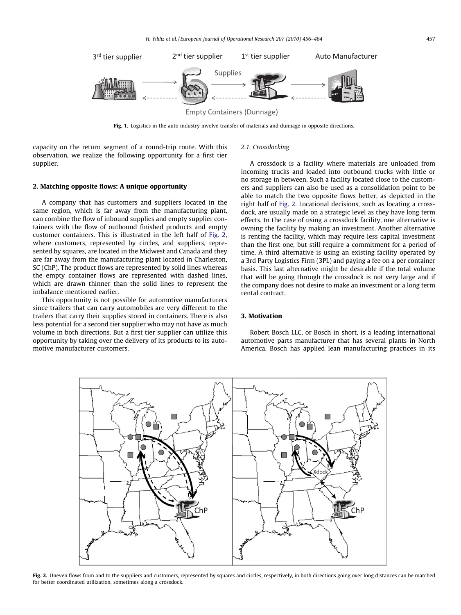<span id="page-1-0"></span>

Fig. 1. Logistics in the auto industry involve transfer of materials and dunnage in opposite directions.

capacity on the return segment of a round-trip route. With this observation, we realize the following opportunity for a first tier supplier.

2.1. Crossdocking

### 2. Matching opposite flows: A unique opportunity

A company that has customers and suppliers located in the same region, which is far away from the manufacturing plant, can combine the flow of inbound supplies and empty supplier containers with the flow of outbound finished products and empty customer containers. This is illustrated in the left half of Fig. 2, where customers, represented by circles, and suppliers, represented by squares, are located in the Midwest and Canada and they are far away from the manufacturing plant located in Charleston, SC (ChP). The product flows are represented by solid lines whereas the empty container flows are represented with dashed lines, which are drawn thinner than the solid lines to represent the imbalance mentioned earlier.

This opportunity is not possible for automotive manufacturers since trailers that can carry automobiles are very different to the trailers that carry their supplies stored in containers. There is also less potential for a second tier supplier who may not have as much volume in both directions. But a first tier supplier can utilize this opportunity by taking over the delivery of its products to its automotive manufacturer customers.

A crossdock is a facility where materials are unloaded from incoming trucks and loaded into outbound trucks with little or no storage in between. Such a facility located close to the customers and suppliers can also be used as a consolidation point to be able to match the two opposite flows better, as depicted in the right half of Fig. 2. Locational decisions, such as locating a crossdock, are usually made on a strategic level as they have long term effects. In the case of using a crossdock facility, one alternative is owning the facility by making an investment. Another alternative is renting the facility, which may require less capital investment than the first one, but still require a commitment for a period of time. A third alternative is using an existing facility operated by a 3rd Party Logistics Firm (3PL) and paying a fee on a per container basis. This last alternative might be desirable if the total volume that will be going through the crossdock is not very large and if the company does not desire to make an investment or a long term rental contract.

### 3. Motivation

Robert Bosch LLC, or Bosch in short, is a leading international automotive parts manufacturer that has several plants in North America. Bosch has applied lean manufacturing practices in its



Fig. 2. Uneven flows from and to the suppliers and customers, represented by squares and circles, respectively, in both directions going over long distances can be matched for better coordinated utilization, sometimes along a crossdock.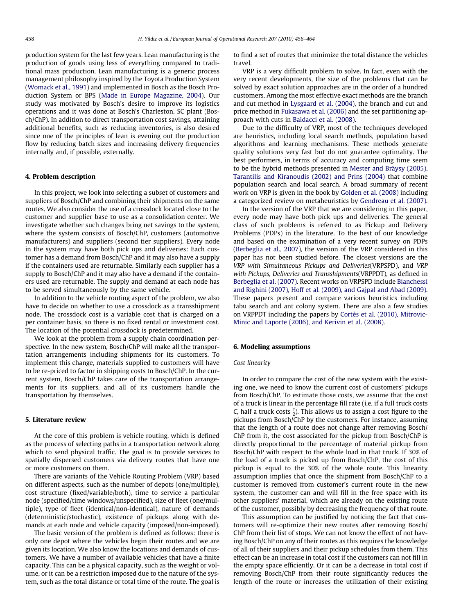production system for the last few years. Lean manufacturing is the production of goods using less of everything compared to traditional mass production. Lean manufacturing is a generic process management philosophy inspired by the Toyota Production System ([Womack et al., 1991](#page-8-0)) and implemented in Bosch as the Bosch Production System or BPS ([Made in Europe Magazine, 2004](#page-8-0)). Our study was motivated by Bosch's desire to improve its logistics operations and it was done at Bosch's Charleston, SC plant (Bosch/ChP). In addition to direct transportation cost savings, attaining additional benefits, such as reducing inventories, is also desired since one of the principles of lean is evening out the production flow by reducing batch sizes and increasing delivery frequencies internally and, if possible, externally.

#### 4. Problem description

In this project, we look into selecting a subset of customers and suppliers of Bosch/ChP and combining their shipments on the same routes. We also consider the use of a crossdock located close to the customer and supplier base to use as a consolidation center. We investigate whether such changes bring net savings to the system, where the system consists of Bosch/ChP, customers (automotive manufacturers) and suppliers (second tier suppliers). Every node in the system may have both pick ups and deliveries: Each customer has a demand from Bosch/ChP and it may also have a supply if the containers used are returnable. Similarly each supplier has a supply to Bosch/ChP and it may also have a demand if the containers used are returnable. The supply and demand at each node has to be served simultaneously by the same vehicle.

In addition to the vehicle routing aspect of the problem, we also have to decide on whether to use a crossdock as a transshipment node. The crossdock cost is a variable cost that is charged on a per container basis, so there is no fixed rental or investment cost. The location of the potential crossdock is predetermined.

We look at the problem from a supply chain coordination perspective. In the new system, Bosch/ChP will make all the transportation arrangements including shipments for its customers. To implement this change, materials supplied to customers will have to be re-priced to factor in shipping costs to Bosch/ChP. In the current system, Bosch/ChP takes care of the transportation arrangements for its suppliers, and all of its customers handle the transportation by themselves.

#### 5. Literature review

At the core of this problem is vehicle routing, which is defined as the process of selecting paths in a transportation network along which to send physical traffic. The goal is to provide services to spatially dispersed customers via delivery routes that have one or more customers on them.

There are variants of the Vehicle Routing Problem (VRP) based on different aspects, such as the number of depots (one/multiple), cost structure (fixed/variable/both), time to service a particular node (specified/time windows/unspecified), size of fleet (one/multiple), type of fleet (identical/non-identical), nature of demands (deterministic/stochastic), existence of pickups along with demands at each node and vehicle capacity (imposed/non-imposed).

The basic version of the problem is defined as follows: there is only one depot where the vehicles begin their routes and we are given its location. We also know the locations and demands of customers. We have a number of available vehicles that have a finite capacity. This can be a physical capacity, such as the weight or volume, or it can be a restriction imposed due to the nature of the system, such as the total distance or total time of the route. The goal is to find a set of routes that minimize the total distance the vehicles travel.

VRP is a very difficult problem to solve. In fact, even with the very recent developments, the size of the problems that can be solved by exact solution approaches are in the order of a hundred customers. Among the most effective exact methods are the branch and cut method in [Lysgaard et al. \(2004\)](#page-7-0), the branch and cut and price method in [Fukasawa et al. \(2006\)](#page-7-0) and the set partitioning approach with cuts in [Baldacci et al. \(2008\).](#page-7-0)

Due to the difficulty of VRP, most of the techniques developed are heuristics, including local search methods, population based algorithms and learning mechanisms. These methods generate quality solutions very fast but do not guarantee optimality. The best performers, in terms of accuracy and computing time seem to be the hybrid methods presented in [Mester and Bräysy \(2005\),](#page-8-0) [Tarantilis and Kiranoudis \(2002\) and Prins \(2004\)](#page-8-0) that combine population search and local search. A broad summary of recent work on VRP is given in the book by [Golden et al. \(2008\)](#page-7-0) including a categorized review on metaheuristics by [Gendreau et al. \(2007\).](#page-7-0)

In the version of the VRP that we are considering in this paper, every node may have both pick ups and deliveries. The general class of such problems is referred to as Pickup and Delivery Problems (PDPs) in the literature. To the best of our knowledge and based on the examination of a very recent survey on PDPs ([Berbeglia et al., 2007\)](#page-7-0), the version of the VRP considered in this paper has not been studied before. The closest versions are the VRP with Simultaneous Pickups and Deliveries(VRPSPD), and VRP with Pickups, Deliveries and Transshipments(VRPPDT), as defined in [Berbeglia et al. \(2007\).](#page-7-0) Recent works on VRPSPD include [Bianchessi](#page-7-0) [and Righini \(2007\), Hoff et al. \(2009\), and Gajpal and Abad \(2009\).](#page-7-0) These papers present and compare various heuristics including tabu search and ant colony system. There are also a few studies on VRPPDT including the papers by [Cortés et al. \(2010\), Mitrovic-](#page-7-0)[Minic and Laporte \(2006\), and Kerivin et al. \(2008\).](#page-7-0)

#### 6. Modeling assumptions

#### Cost linearity

In order to compare the cost of the new system with the existing one, we need to know the current cost of customers' pickups from Bosch/ChP. To estimate those costs, we assume that the cost of a truck is linear in the percentage fill rate (i.e. if a full truck costs C, half a truck costs  $\frac{c}{2}$ ). This allows us to assign a cost figure to the pickups from Bosch/ChP by the customers. For instance, assuming that the length of a route does not change after removing Bosch/ ChP from it, the cost associated for the pickup from Bosch/ChP is directly proportional to the percentage of material pickup from Bosch/ChP with respect to the whole load in that truck. If 30% of the load of a truck is picked up from Bosch/ChP, the cost of this pickup is equal to the 30% of the whole route. This linearity assumption implies that once the shipment from Bosch/ChP to a customer is removed from customer's current route in the new system, the customer can and will fill in the free space with its other suppliers' material, which are already on the existing route of the customer, possibly by decreasing the frequency of that route.

This assumption can be justified by noticing the fact that customers will re-optimize their new routes after removing Bosch/ ChP from their list of stops. We can not know the effect of not having Bosch/ChP on any of their routes as this requires the knowledge of all of their suppliers and their pickup schedules from them. This effect can be an increase in total cost if the customers can not fill in the empty space efficiently. Or it can be a decrease in total cost if removing Bosch/ChP from their route significantly reduces the length of the route or increases the utilization of their existing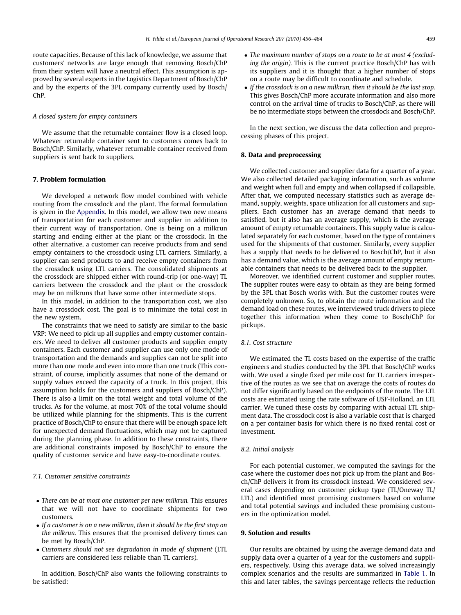route capacities. Because of this lack of knowledge, we assume that customers' networks are large enough that removing Bosch/ChP from their system will have a neutral effect. This assumption is approved by several experts in the Logistics Department of Bosch/ChP and by the experts of the 3PL company currently used by Bosch/ ChP.

#### A closed system for empty containers

We assume that the returnable container flow is a closed loop. Whatever returnable container sent to customers comes back to Bosch/ChP. Similarly, whatever returnable container received from suppliers is sent back to suppliers.

#### 7. Problem formulation

We developed a network flow model combined with vehicle routing from the crossdock and the plant. The formal formulation is given in the Appendix. In this model, we allow two new means of transportation for each customer and supplier in addition to their current way of transportation. One is being on a milkrun starting and ending either at the plant or the crossdock. In the other alternative, a customer can receive products from and send empty containers to the crossdock using LTL carriers. Similarly, a supplier can send products to and receive empty containers from the crossdock using LTL carriers. The consolidated shipments at the crossdock are shipped either with round-trip (or one-way) TL carriers between the crossdock and the plant or the crossdock may be on milkruns that have some other intermediate stops.

In this model, in addition to the transportation cost, we also have a crossdock cost. The goal is to minimize the total cost in the new system.

The constraints that we need to satisfy are similar to the basic VRP: We need to pick up all supplies and empty customer containers. We need to deliver all customer products and supplier empty containers. Each customer and supplier can use only one mode of transportation and the demands and supplies can not be split into more than one mode and even into more than one truck (This constraint, of course, implicitly assumes that none of the demand or supply values exceed the capacity of a truck. In this project, this assumption holds for the customers and suppliers of Bosch/ChP). There is also a limit on the total weight and total volume of the trucks. As for the volume, at most 70% of the total volume should be utilized while planning for the shipments. This is the current practice of Bosch/ChP to ensure that there will be enough space left for unexpected demand fluctuations, which may not be captured during the planning phase. In addition to these constraints, there are additional constraints imposed by Bosch/ChP to ensure the quality of customer service and have easy-to-coordinate routes.

#### 7.1. Customer sensitive constraints

- There can be at most one customer per new milkrun. This ensures that we will not have to coordinate shipments for two customers.
- If a customer is on a new milkrun, then it should be the first stop on the milkrun. This ensures that the promised delivery times can be met by Bosch/ChP.
- Customers should not see degradation in mode of shipment (LTL carriers are considered less reliable than TL carriers).

In addition, Bosch/ChP also wants the following constraints to be satisfied:

- The maximum number of stops on a route to be at most 4 (excluding the origin). This is the current practice Bosch/ChP has with its suppliers and it is thought that a higher number of stops on a route may be difficult to coordinate and schedule.
- If the crossdock is on a new milkrun, then it should be the last stop. This gives Bosch/ChP more accurate information and also more control on the arrival time of trucks to Bosch/ChP, as there will be no intermediate stops between the crossdock and Bosch/ChP.

In the next section, we discuss the data collection and preprocessing phases of this project.

#### 8. Data and preprocessing

We collected customer and supplier data for a quarter of a year. We also collected detailed packaging information, such as volume and weight when full and empty and when collapsed if collapsible. After that, we computed necessary statistics such as average demand, supply, weights, space utilization for all customers and suppliers. Each customer has an average demand that needs to satisfied, but it also has an average supply, which is the average amount of empty returnable containers. This supply value is calculated separately for each customer, based on the type of containers used for the shipments of that customer. Similarly, every supplier has a supply that needs to be delivered to Bosch/ChP, but it also has a demand value, which is the average amount of empty returnable containers that needs to be delivered back to the supplier.

Moreover, we identified current customer and supplier routes. The supplier routes were easy to obtain as they are being formed by the 3PL that Bosch works with. But the customer routes were completely unknown. So, to obtain the route information and the demand load on these routes, we interviewed truck drivers to piece together this information when they come to Bosch/ChP for pickups.

#### 8.1. Cost structure

We estimated the TL costs based on the expertise of the traffic engineers and studies conducted by the 3PL that Bosch/ChP works with. We used a single fixed per mile cost for TL carriers irrespective of the routes as we see that on average the costs of routes do not differ significantly based on the endpoints of the route. The LTL costs are estimated using the rate software of USF-Holland, an LTL carrier. We tuned these costs by comparing with actual LTL shipment data. The crossdock cost is also a variable cost that is charged on a per container basis for which there is no fixed rental cost or investment.

#### 8.2. Initial analysis

For each potential customer, we computed the savings for the case where the customer does not pick up from the plant and Bosch/ChP delivers it from its crossdock instead. We considered several cases depending on customer pickup type (TL/Oneway TL/ LTL) and identified most promising customers based on volume and total potential savings and included these promising customers in the optimization model.

#### 9. Solution and results

Our results are obtained by using the average demand data and supply data over a quarter of a year for the customers and suppliers, respectively. Using this average data, we solved increasingly complex scenarios and the results are summarized in [Table 1.](#page-4-0) In this and later tables, the savings percentage reflects the reduction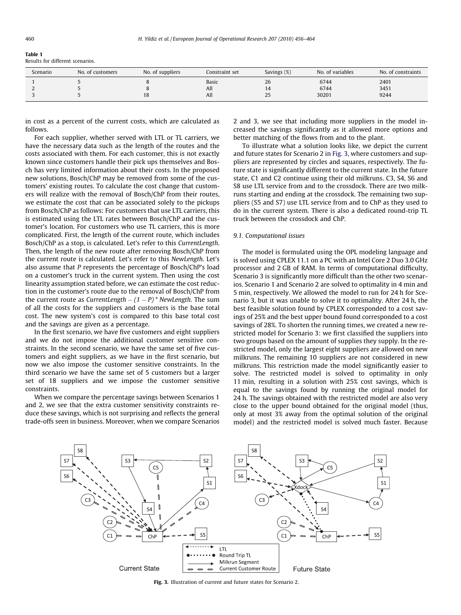<span id="page-4-0"></span>

| таріе т |  |                                  |
|---------|--|----------------------------------|
|         |  | Results for different scenarios. |

| Scenario | No. of customers | No. of suppliers | Constraint set | Savings (%)         | No. of variables | No. of constraints |
|----------|------------------|------------------|----------------|---------------------|------------------|--------------------|
|          |                  |                  | Basic          | 26                  | 6744             | 2401               |
|          |                  |                  | All            |                     | 6744             | 3451               |
|          |                  | 18               | All            | $\sim$ $\sim$<br>رے | 30201            | 9244               |

in cost as a percent of the current costs, which are calculated as follows.

For each supplier, whether served with LTL or TL carriers, we have the necessary data such as the length of the routes and the costs associated with them. For each customer, this is not exactly known since customers handle their pick ups themselves and Bosch has very limited information about their costs. In the proposed new solutions, Bosch/ChP may be removed from some of the customers' existing routes. To calculate the cost change that customers will realize with the removal of Bosch/ChP from their routes, we estimate the cost that can be associated solely to the pickups from Bosch/ChP as follows: For customers that use LTL carriers, this is estimated using the LTL rates between Bosch/ChP and the customer's location. For customers who use TL carriers, this is more complicated. First, the length of the current route, which includes Bosch/ChP as a stop, is calculated. Let's refer to this CurrentLength. Then, the length of the new route after removing Bosch/ChP from the current route is calculated. Let's refer to this NewLength. Let's also assume that P represents the percentage of Bosch/ChP's load on a customer's truck in the current system. Then using the cost linearity assumption stated before, we can estimate the cost reduction in the customer's route due to the removal of Bosch/ChP from the current route as CurrentLength  $- (1 - P)$  \* NewLength. The sum of all the costs for the suppliers and customers is the base total cost. The new system's cost is compared to this base total cost and the savings are given as a percentage.

In the first scenario, we have five customers and eight suppliers and we do not impose the additional customer sensitive constraints. In the second scenario, we have the same set of five customers and eight suppliers, as we have in the first scenario, but now we also impose the customer sensitive constraints. In the third scenario we have the same set of 5 customers but a larger set of 18 suppliers and we impose the customer sensitive constraints.

When we compare the percentage savings between Scenarios 1 and 2, we see that the extra customer sensitivity constraints reduce these savings, which is not surprising and reflects the general trade-offs seen in business. Moreover, when we compare Scenarios 2 and 3, we see that including more suppliers in the model increased the savings significantly as it allowed more options and better matching of the flows from and to the plant.

To illustrate what a solution looks like, we depict the current and future states for Scenario 2 in Fig. 3, where customers and suppliers are represented by circles and squares, respectively. The future state is significantly different to the current state. In the future state, C1 and C2 continue using their old milkruns. C3, S4, S6 and S8 use LTL service from and to the crossdock. There are two milkruns starting and ending at the crossdock. The remaining two suppliers (S5 and S7) use LTL service from and to ChP as they used to do in the current system. There is also a dedicated round-trip TL truck between the crossdock and ChP.

#### 9.1. Computational issues

The model is formulated using the OPL modeling language and is solved using CPLEX 11.1 on a PC with an Intel Core 2 Duo 3.0 GHz processor and 2 GB of RAM. In terms of computational difficulty, Scenario 3 is significantly more difficult than the other two scenarios. Scenario 1 and Scenario 2 are solved to optimality in 4 min and 5 min, respectively. We allowed the model to run for 24 h for Scenario 3, but it was unable to solve it to optimality. After 24 h, the best feasible solution found by CPLEX corresponded to a cost savings of 25% and the best upper bound found corresponded to a cost savings of 28%. To shorten the running times, we created a new restricted model for Scenario 3: we first classified the suppliers into two groups based on the amount of supplies they supply. In the restricted model, only the largest eight suppliers are allowed on new milkruns. The remaining 10 suppliers are not considered in new milkruns. This restriction made the model significantly easier to solve. The restricted model is solved to optimality in only 11 min, resulting in a solution with 25% cost savings, which is equal to the savings found by running the original model for 24 h. The savings obtained with the restricted model are also very close to the upper bound obtained for the original model (thus, only at most 3% away from the optimal solution of the original model) and the restricted model is solved much faster. Because



Fig. 3. Illustration of current and future states for Scenario 2.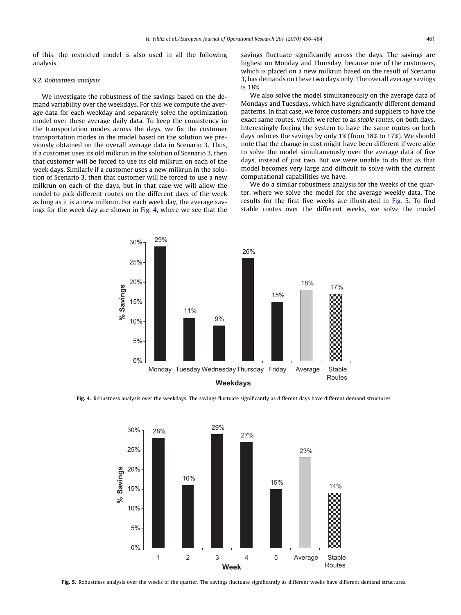<span id="page-5-0"></span>of this, the restricted model is also used in all the following analysis.

#### 9.2. Robustness analysis

We investigate the robustness of the savings based on the demand variability over the weekdays. For this we compute the average data for each weekday and separately solve the optimization model over these average daily data. To keep the consistency in the transportation modes across the days, we fix the customer transportation modes in the model based on the solution we previously obtained on the overall average data in Scenario 3. Thus, if a customer uses its old milkrun in the solution of Scenario 3, then that customer will be forced to use its old milkrun on each of the week days. Similarly if a customer uses a new milkrun in the solution of Scenario 3, then that customer will be forced to use a new milkrun on each of the days, but in that case we will allow the model to pick different routes on the different days of the week as long as it is a new milkrun. For each week day, the average savings for the week day are shown in Fig. 4, where we see that the savings fluctuate significantly across the days. The savings are highest on Monday and Thursday, because one of the customers, which is placed on a new milkrun based on the result of Scenario 3, has demands on these two days only. The overall average savings is 18%.

We also solve the model simultaneously on the average data of Mondays and Tuesdays, which have significantly different demand patterns. In that case, we force customers and suppliers to have the exact same routes, which we refer to as stable routes, on both days. Interestingly forcing the system to have the same routes on both days reduces the savings by only 1% (from 18% to 17%). We should note that the change in cost might have been different if were able to solve the model simultaneously over the average data of five days, instead of just two. But we were unable to do that as that model becomes very large and difficult to solve with the current computational capabilities we have.

We do a similar robustness analysis for the weeks of the quarter, where we solve the model for the average weekly data. The results for the first five weeks are illustrated in Fig. 5. To find stable routes over the different weeks, we solve the model



Fig. 4. Robustness analysis over the weekdays. The savings fluctuate significantly as different days have different demand structures.



Fig. 5. Robustness analysis over the weeks of the quarter. The savings fluctuate significantly as different weeks have different demand structures.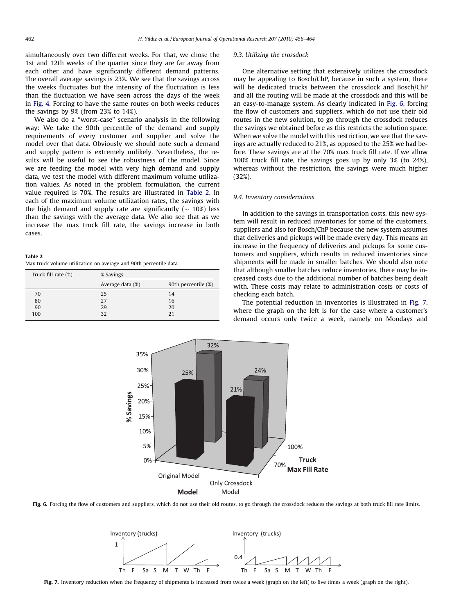simultaneously over two different weeks. For that, we chose the 1st and 12th weeks of the quarter since they are far away from each other and have significantly different demand patterns. The overall average savings is 23%. We see that the savings across the weeks fluctuates but the intensity of the fluctuation is less than the fluctuation we have seen across the days of the week in [Fig. 4.](#page-5-0) Forcing to have the same routes on both weeks reduces the savings by 9% (from 23% to 14%).

We also do a ''worst-case" scenario analysis in the following way: We take the 90th percentile of the demand and supply requirements of every customer and supplier and solve the model over that data. Obviously we should note such a demand and supply pattern is extremely unlikely. Nevertheless, the results will be useful to see the robustness of the model. Since we are feeding the model with very high demand and supply data, we test the model with different maximum volume utilization values. As noted in the problem formulation, the current value required is 70%. The results are illustrated in Table 2. In each of the maximum volume utilization rates, the savings with the high demand and supply rate are significantly ( $\sim 10\%$ ) less than the savings with the average data. We also see that as we increase the max truck fill rate, the savings increase in both cases.

#### Table 2

Max truck volume utilization on average and 90th percentile data.

| Truck fill rate (%) | % Savings        |                     |  |  |
|---------------------|------------------|---------------------|--|--|
|                     | Average data (%) | 90th percentile (%) |  |  |
| 70                  | 25               | 14                  |  |  |
| 80                  | 27               | 16                  |  |  |
| 90                  | 29               | 20                  |  |  |
| 100                 | 32               | 21                  |  |  |

#### 9.3. Utilizing the crossdock

One alternative setting that extensively utilizes the crossdock may be appealing to Bosch/ChP, because in such a system, there will be dedicated trucks between the crossdock and Bosch/ChP and all the routing will be made at the crossdock and this will be an easy-to-manage system. As clearly indicated in Fig. 6, forcing the flow of customers and suppliers, which do not use their old routes in the new solution, to go through the crossdock reduces the savings we obtained before as this restricts the solution space. When we solve the model with this restriction, we see that the savings are actually reduced to 21%, as opposed to the 25% we had before. These savings are at the 70% max truck fill rate. If we allow 100% truck fill rate, the savings goes up by only 3% (to 24%), whereas without the restriction, the savings were much higher (32%).

#### 9.4. Inventory considerations

In addition to the savings in transportation costs, this new system will result in reduced inventories for some of the customers, suppliers and also for Bosch/ChP because the new system assumes that deliveries and pickups will be made every day. This means an increase in the frequency of deliveries and pickups for some customers and suppliers, which results in reduced inventories since shipments will be made in smaller batches. We should also note that although smaller batches reduce inventories, there may be increased costs due to the additional number of batches being dealt with. These costs may relate to administration costs or costs of checking each batch.

The potential reduction in inventories is illustrated in Fig. 7, where the graph on the left is for the case where a customer's demand occurs only twice a week, namely on Mondays and



Fig. 6. Forcing the flow of customers and suppliers, which do not use their old routes, to go through the crossdock reduces the savings at both truck fill rate limits.



Fig. 7. Inventory reduction when the frequency of shipments is increased from twice a week (graph on the left) to five times a week (graph on the right).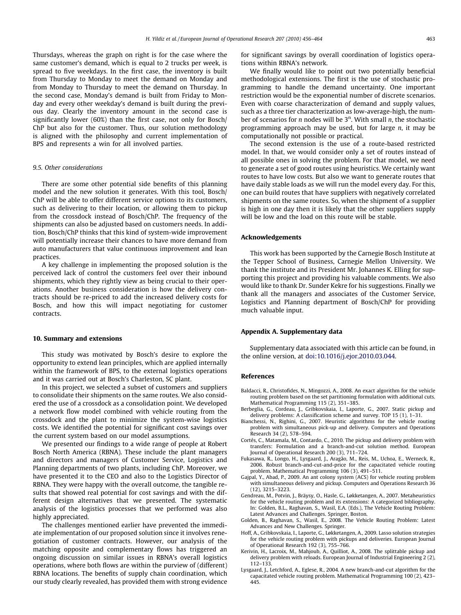<span id="page-7-0"></span>Thursdays, whereas the graph on right is for the case where the same customer's demand, which is equal to 2 trucks per week, is spread to five weekdays. In the first case, the inventory is built from Thursday to Monday to meet the demand on Monday and from Monday to Thursday to meet the demand on Thursday. In the second case, Monday's demand is built from Friday to Monday and every other weekday's demand is built during the previous day. Clearly the inventory amount in the second case is significantly lower (60%) than the first case, not only for Bosch/ ChP but also for the customer. Thus, our solution methodology is aligned with the philosophy and current implementation of BPS and represents a win for all involved parties.

#### 9.5. Other considerations

There are some other potential side benefits of this planning model and the new solution it generates. With this tool, Bosch/ ChP will be able to offer different service options to its customers, such as delivering to their location, or allowing them to pickup from the crossdock instead of Bosch/ChP. The frequency of the shipments can also be adjusted based on customers needs. In addition, Bosch/ChP thinks that this kind of system-wide improvement will potentially increase their chances to have more demand from auto manufacturers that value continuous improvement and lean practices.

A key challenge in implementing the proposed solution is the perceived lack of control the customers feel over their inbound shipments, which they rightly view as being crucial to their operations. Another business consideration is how the delivery contracts should be re-priced to add the increased delivery costs for Bosch, and how this will impact negotiating for customer contracts.

#### 10. Summary and extensions

This study was motivated by Bosch's desire to explore the opportunity to extend lean principles, which are applied internally within the framework of BPS, to the external logistics operations and it was carried out at Bosch's Charleston, SC plant.

In this project, we selected a subset of customers and suppliers to consolidate their shipments on the same routes. We also considered the use of a crossdock as a consolidation point. We developed a network flow model combined with vehicle routing from the crossdock and the plant to minimize the system-wise logistics costs. We identified the potential for significant cost savings over the current system based on our model assumptions.

We presented our findings to a wide range of people at Robert Bosch North America (RBNA). These include the plant managers and directors and managers of Customer Service, Logistics and Planning departments of two plants, including ChP. Moreover, we have presented it to the CEO and also to the Logistics Director of RBNA. They were happy with the overall outcome, the tangible results that showed real potential for cost savings and with the different design alternatives that we presented. The systematic analysis of the logistics processes that we performed was also highly appreciated.

The challenges mentioned earlier have prevented the immediate implementation of our proposed solution since it involves renegotiation of customer contracts. However, our analysis of the matching opposite and complementary flows has triggered an ongoing discussion on similar issues in RBNA's overall logistics operations, where both flows are within the purview of (different) RBNA locations. The benefits of supply chain coordination, which our study clearly revealed, has provided them with strong evidence for significant savings by overall coordination of logistics operations within RBNA's network.

We finally would like to point out two potentially beneficial methodological extensions. The first is the use of stochastic programming to handle the demand uncertainty. One important restriction would be the exponential number of discrete scenarios. Even with coarse characterization of demand and supply values, such as a three tier characterization as low-average-high, the number of scenarios for  $n$  nodes will be  $3<sup>n</sup>$ . With small  $n$ , the stochastic programming approach may be used, but for large  $n$ , it may be computationally not possible or practical.

The second extension is the use of a route-based restricted model. In that, we would consider only a set of routes instead of all possible ones in solving the problem. For that model, we need to generate a set of good routes using heuristics. We certainly want routes to have low costs. But also we want to generate routes that have daily stable loads as we will run the model every day. For this, one can build routes that have suppliers with negatively correlated shipments on the same routes. So, when the shipment of a supplier is high in one day then it is likely that the other suppliers supply will be low and the load on this route will be stable.

#### Acknowledgements

This work has been supported by the Carnegie Bosch Institute at the Tepper School of Business, Carnegie Mellon University. We thank the institute and its President Mr. Johannes K. Elling for supporting this project and providing his valuable comments. We also would like to thank Dr. Sunder Kekre for his suggestions. Finally we thank all the managers and associates of the Customer Service, Logistics and Planning department of Bosch/ChP for providing much valuable input.

#### Appendix A. Supplementary data

Supplementary data associated with this article can be found, in the online version, at [doi:10.1016/j.ejor.2010.03.044](http://dx.doi.org/10.1016/j.ejor.2010.03.044).

#### References

- Baldacci, R., Christofides, N., Mingozzi, A., 2008. An exact algorithm for the vehicle routing problem based on the set partitioning formulation with additional cuts. Mathematical Programming 115 (2), 351–385.
- Berbeglia, G., Cordeau, J., Gribkovskaia, I., Laporte, G., 2007. Static pickup and delivery problems: A classification scheme and survey. TOP 15 (1), 1–31.
- Bianchessi, N., Righini, G., 2007. Heuristic algorithms for the vehicle routing problem with simultaneous pick-up and delivery. Computers and Operations Research 34 (2), 578–594.
- Cortés, C., Matamala, M., Contardo, C., 2010. The pickup and delivery problem with transfers: Formulation and a branch-and-cut solution method. European Journal of Operational Research 200 (3), 711–724.
- Fukasawa, R., Longo, H., Lysgaard, J., Aragão, M., Reis, M., Uchoa, E., Werneck, R., 2006. Robust branch-and-cut-and-price for the capacitated vehicle routing problem. Mathematical Programming 106 (3), 491–511.
- Gajpal, Y., Abad, P., 2009. An ant colony system (ACS) for vehicle routing problem with simultaneous delivery and pickup. Computers and Operations Research 36 (12), 3215–3223.
- Gendreau, M., Potvin, J., Bräysy, O., Hasle, G., Løkketangen, A., 2007. Metaheuristics for the vehicle routing problem and its extensions: A categorized bibliography. In: Golden, B.L., Raghavan, S., Wasil, E.A. (Eds.), The Vehicle Routing Problem: Latest Advances and Challenges. Springer, Boston.
- Golden, B., Raghavan, S., Wasil, E., 2008. The Vehicle Routing Problem: Latest Advances and New Challenges. Springer.
- Hoff, A., Gribkovskaia, I., Laporte, G., Løkketangen, A., 2009. Lasso solution strategies for the vehicle routing problem with pickups and deliveries. European Journal of Operational Research 192 (3), 755–766.
- Kerivin, H., Lacroix, M., Mahjoub, A., Quilliot, A., 2008. The splittable pickup and delivery problem with reloads. European Journal of Industrial Engineering 2 (2), 112–133.
- Lysgaard, J., Letchford, A., Eglese, R., 2004. A new branch-and-cut algorithm for the capacitated vehicle routing problem. Mathematical Programming 100 (2), 423– 445.